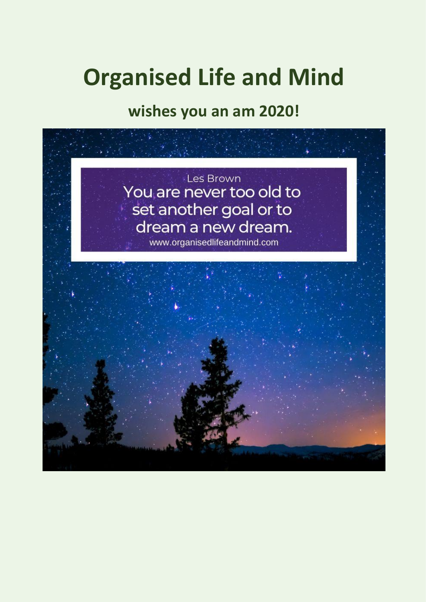# **Organised Life and Mind**

**wishes you an am 2020!**

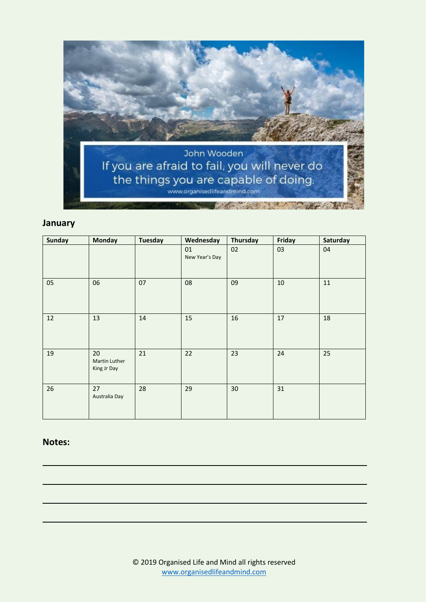

# **January**

| <b>Sunday</b> | <b>Monday</b>                      | <b>Tuesday</b> | Wednesday            | Thursday | Friday | Saturday |
|---------------|------------------------------------|----------------|----------------------|----------|--------|----------|
|               |                                    |                | 01<br>New Year's Day | 02       | 03     | 04       |
| 05            | 06                                 | 07             | 08                   | 09       | 10     | 11       |
| 12            | 13                                 | 14             | 15                   | 16       | 17     | 18       |
| 19            | 20<br>Martin Luther<br>King Jr Day | 21             | 22                   | 23       | 24     | 25       |
| 26            | 27<br>Australia Day                | 28             | 29                   | 30       | 31     |          |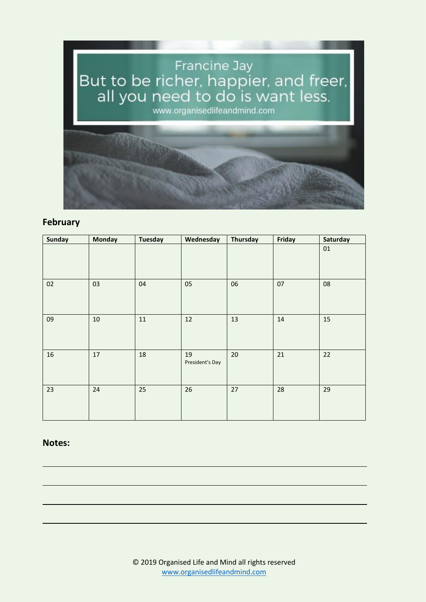

# **February**

| Sunday | Monday | <b>Tuesday</b> | Wednesday             | Thursday | Friday | Saturday |
|--------|--------|----------------|-----------------------|----------|--------|----------|
|        |        |                |                       |          |        | $01\,$   |
| 02     | 03     | 04             | 05                    | 06       | 07     | 08       |
| 09     | $10\,$ | $11\,$         | 12                    | 13       | 14     | 15       |
| 16     | 17     | 18             | 19<br>President's Day | 20       | 21     | 22       |
| 23     | 24     | 25             | 26                    | 27       | 28     | 29       |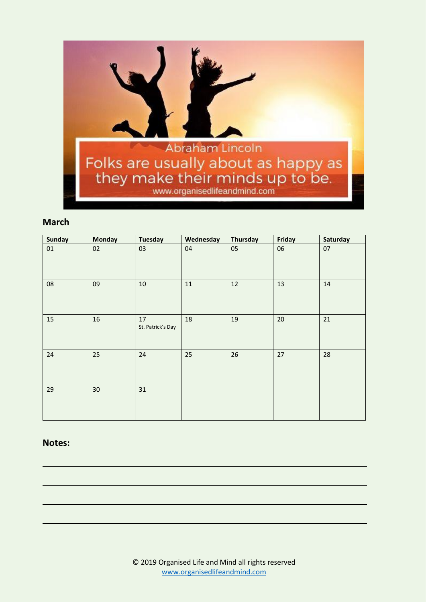

# **March**

| <b>Sunday</b> | <b>Monday</b> | <b>Tuesday</b>          | Wednesday | Thursday | Friday | Saturday |
|---------------|---------------|-------------------------|-----------|----------|--------|----------|
| 01            | 02            | 03                      | 04        | 05       | 06     | 07       |
| 08            | 09            | $10\,$                  | $11\,$    | 12       | 13     | 14       |
| 15            | 16            | 17<br>St. Patrick's Day | 18        | 19       | 20     | $21\,$   |
| 24            | 25            | 24                      | 25        | 26       | 27     | 28       |
| 29            | 30            | 31                      |           |          |        |          |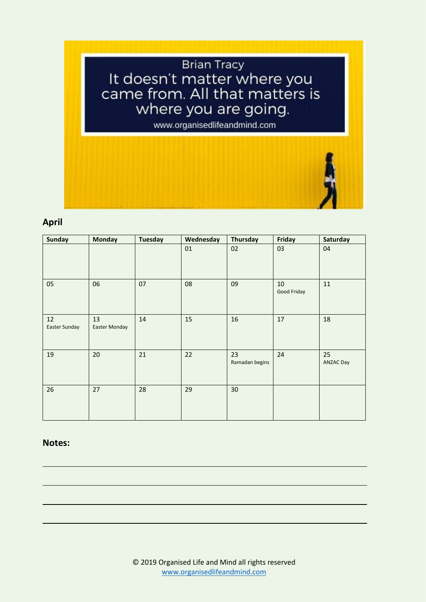# **Brian Tracy** It doesn't matter where you<br>came from. All that matters is where you are going.

www.organisedlifeandmind.com

# **April**

| <b>Sunday</b>       | <b>Monday</b>       | <b>Tuesday</b> | Wednesday | Thursday             | Friday            | Saturday               |
|---------------------|---------------------|----------------|-----------|----------------------|-------------------|------------------------|
|                     |                     |                | 01        | 02                   | 03                | 04                     |
| 05                  | 06                  | 07             | 08        | 09                   | 10<br>Good Friday | $11\,$                 |
| 12<br>Easter Sunday | 13<br>Easter Monday | 14             | 15        | 16                   | 17                | 18                     |
| 19                  | 20                  | 21             | 22        | 23<br>Ramadan begins | 24                | 25<br><b>ANZAC Day</b> |
| 26                  | 27                  | 28             | 29        | 30                   |                   |                        |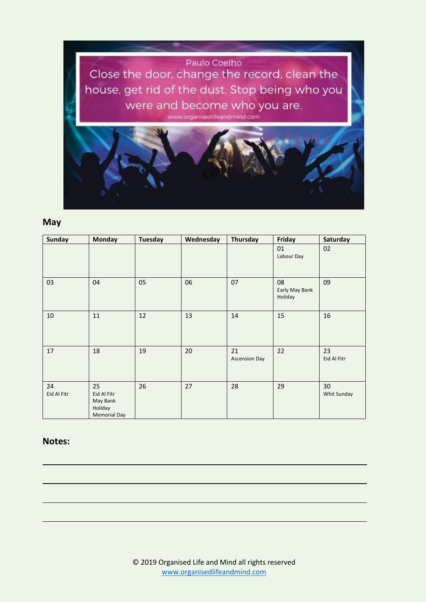

# **May**

| <b>Sunday</b>     | <b>Monday</b>                                                   | <b>Tuesday</b> | Wednesday | Thursday                   | Friday                          | Saturday          |
|-------------------|-----------------------------------------------------------------|----------------|-----------|----------------------------|---------------------------------|-------------------|
|                   |                                                                 |                |           |                            | 01<br>Labour Day                | 02                |
| 03                | 04                                                              | 05             | 06        | 07                         | 08<br>Early May Bank<br>Holiday | 09                |
| 10                | 11                                                              | 12             | 13        | 14                         | 15                              | 16                |
| 17                | 18                                                              | 19             | 20        | 21<br><b>Ascension Day</b> | 22                              | 23<br>Eid Al Fitr |
| 24<br>Eid Al Fitr | 25<br>Eid Al Fitr<br>May Bank<br>Holiday<br><b>Memorial Day</b> | 26             | 27        | 28                         | 29                              | 30<br>Whit Sunday |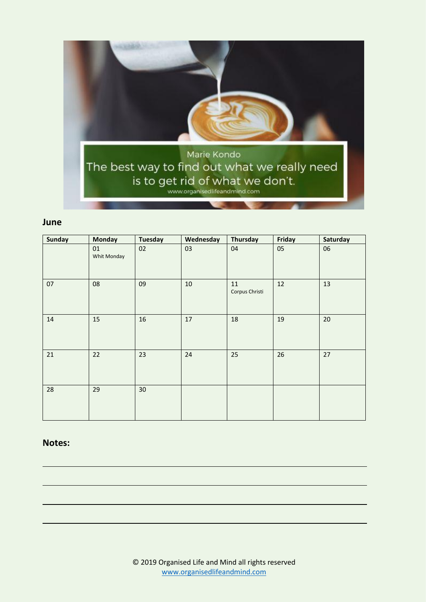

### **June**

| <b>Sunday</b> | <b>Monday</b>     | <b>Tuesday</b> | Wednesday | Thursday             | Friday | Saturday |
|---------------|-------------------|----------------|-----------|----------------------|--------|----------|
|               | 01<br>Whit Monday | 02             | 03        | 04                   | 05     | 06       |
| 07            | 08                | 09             | $10\,$    | 11<br>Corpus Christi | 12     | 13       |
| 14            | 15                | 16             | 17        | 18                   | 19     | 20       |
| 21            | 22                | 23             | 24        | 25                   | 26     | 27       |
| 28            | 29                | 30             |           |                      |        |          |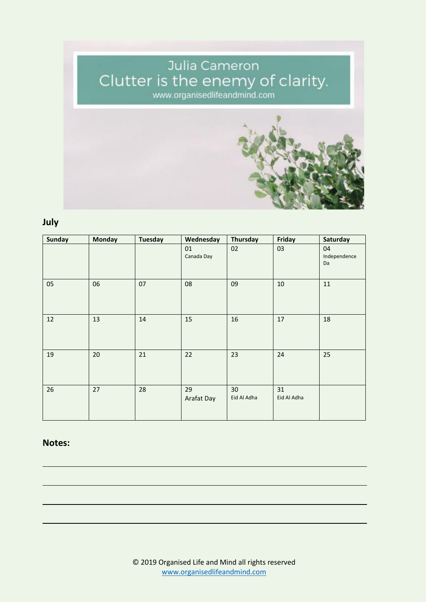# Julia Cameron<br>Clutter is the enemy of clarity.<br>www.organisedlifeandmind.com



# **July**

| <b>Sunday</b> | <b>Monday</b> | <b>Tuesday</b> | Wednesday        | Thursday          | Friday            | Saturday                 |
|---------------|---------------|----------------|------------------|-------------------|-------------------|--------------------------|
|               |               |                | 01<br>Canada Day | 02                | 03                | 04<br>Independence<br>Da |
| 05            | 06            | 07             | 08               | 09                | 10                | 11                       |
| 12            | 13            | 14             | 15               | 16                | 17                | 18                       |
| 19            | 20            | 21             | 22               | 23                | 24                | 25                       |
| 26            | 27            | 28             | 29<br>Arafat Day | 30<br>Eid Al Adha | 31<br>Eid Al Adha |                          |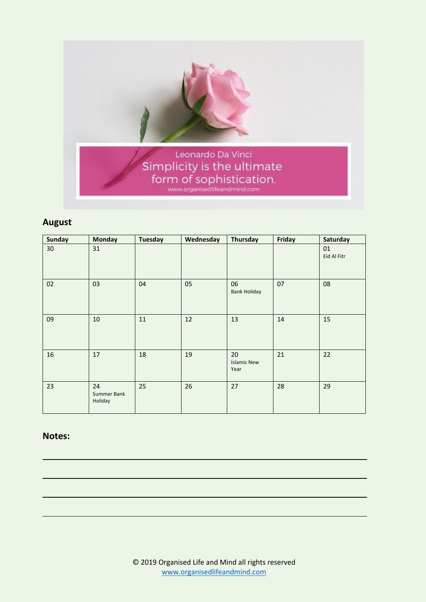

# **August**

| <b>Sunday</b> | <b>Monday</b>                | <b>Tuesday</b> | Wednesday | Thursday                         | Friday | Saturday          |
|---------------|------------------------------|----------------|-----------|----------------------------------|--------|-------------------|
| 30            | 31                           |                |           |                                  |        | 01<br>Eid Al Fitr |
| 02            | 03                           | 04             | 05        | 06<br><b>Bank Holiday</b>        | 07     | 08                |
| 09            | 10                           | 11             | 12        | 13                               | 14     | 15                |
| 16            | 17                           | 18             | 19        | 20<br><b>Islamic New</b><br>Year | 21     | 22                |
| 23            | 24<br>Summer Bank<br>Holiday | 25             | 26        | 27                               | 28     | 29                |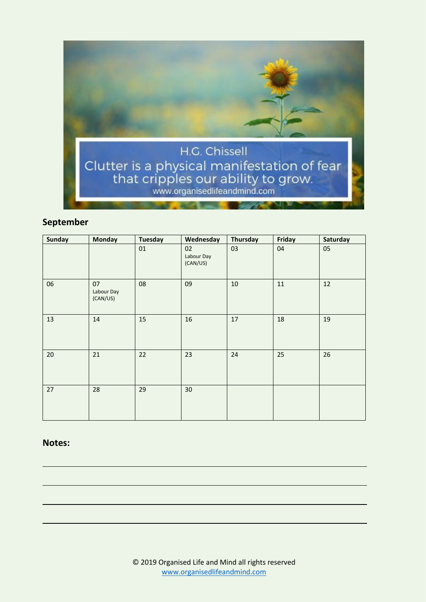

# **September**

| Sunday | <b>Monday</b>                | <b>Tuesday</b> | Wednesday                    | Thursday | Friday | Saturday |
|--------|------------------------------|----------------|------------------------------|----------|--------|----------|
|        |                              | 01             | 02<br>Labour Day<br>(CAN/US) | 03       | 04     | 05       |
| 06     | 07<br>Labour Day<br>(CAN/US) | 08             | 09                           | $10\,$   | 11     | 12       |
| 13     | 14                           | 15             | 16                           | 17       | 18     | 19       |
| 20     | 21                           | 22             | 23                           | 24       | 25     | 26       |
| 27     | 28                           | 29             | 30                           |          |        |          |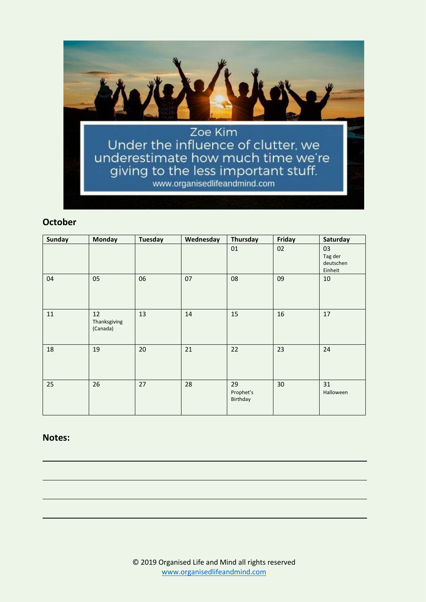

# **October**

| <b>Sunday</b> | <b>Monday</b>                  | <b>Tuesday</b> | Wednesday | Thursday                    | Friday | Saturday                              |
|---------------|--------------------------------|----------------|-----------|-----------------------------|--------|---------------------------------------|
|               |                                |                |           | 01                          | 02     | 03<br>Tag der<br>deutschen<br>Einheit |
| 04            | 05                             | 06             | 07        | 08                          | 09     | 10                                    |
| 11            | 12<br>Thanksgiving<br>(Canada) | 13             | 14        | 15                          | 16     | 17                                    |
| 18            | 19                             | 20             | 21        | 22                          | 23     | 24                                    |
| 25            | 26                             | 27             | 28        | 29<br>Prophet's<br>Birthday | 30     | 31<br>Halloween                       |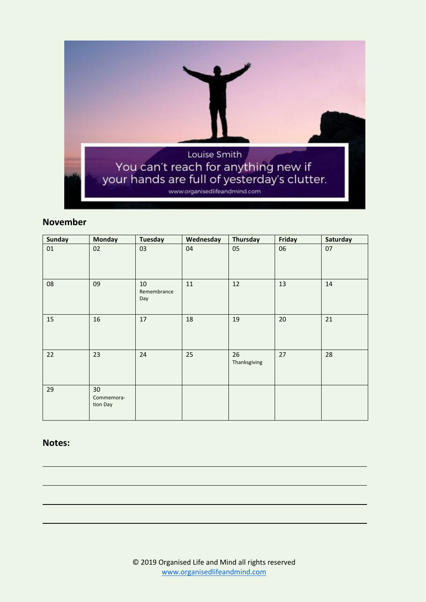

# **November**

| <b>Sunday</b> | <b>Monday</b>                | <b>Tuesday</b>               | Wednesday | Thursday           | Friday | Saturday |
|---------------|------------------------------|------------------------------|-----------|--------------------|--------|----------|
| $01\,$        | 02                           | 03                           | 04        | 05                 | 06     | 07       |
| 08            | 09                           | $10\,$<br>Remembrance<br>Day | $11\,$    | 12                 | 13     | $14\,$   |
| 15            | 16                           | 17                           | 18        | 19                 | 20     | 21       |
| 22            | 23                           | 24                           | 25        | 26<br>Thanksgiving | 27     | 28       |
| 29            | 30<br>Commemora-<br>tion Day |                              |           |                    |        |          |